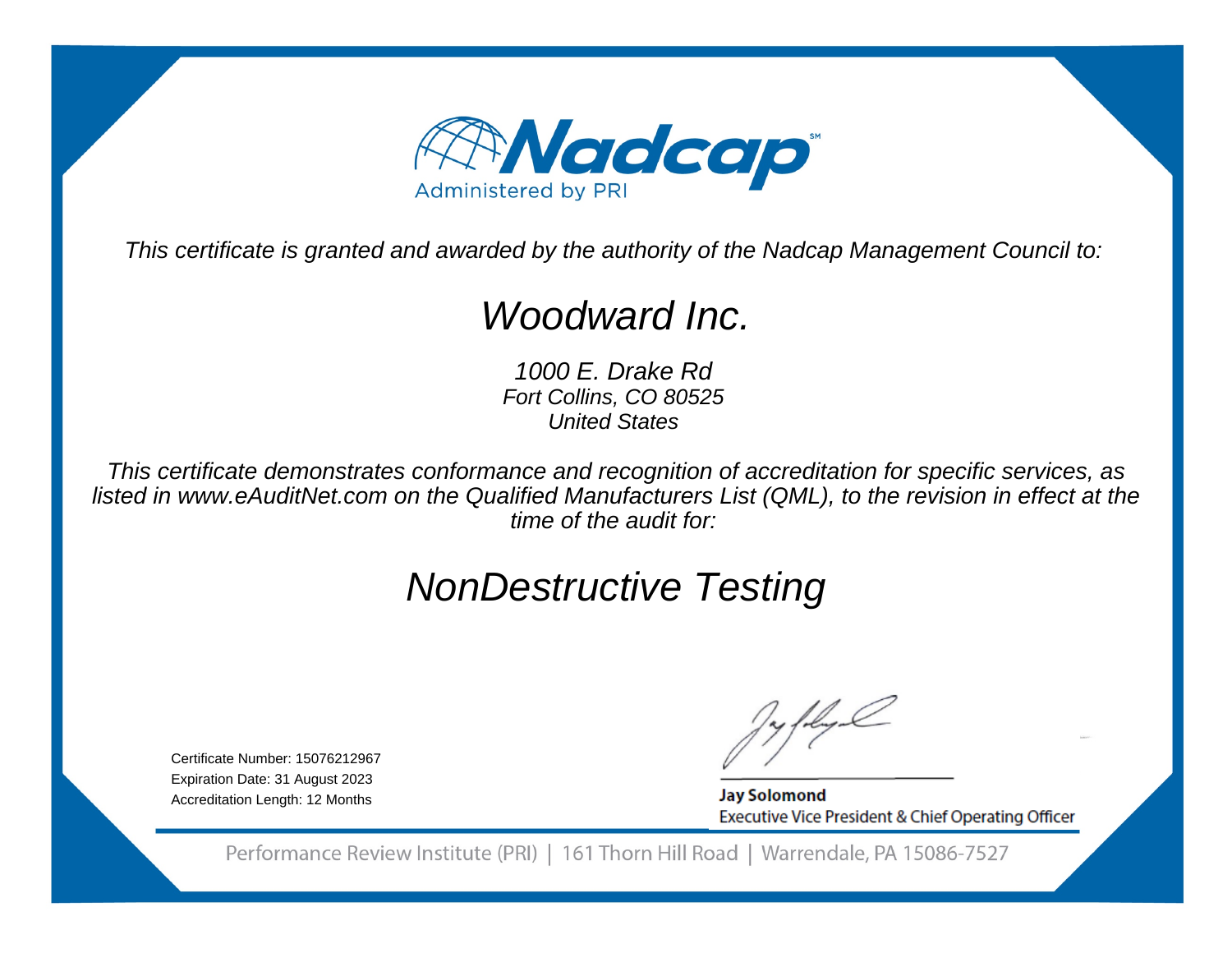

This certificate is granted and awarded by the authority of the Nadcap Management Council to:

# Woodward Inc.

1000 E. Drake Rd Fort Collins, CO 80525United States

This certificate demonstrates conformance and recognition of accreditation for specific services, as listed in www.eAuditNet.com on the Qualified Manufacturers List (QML), to the revision in effect at thetime of the audit for:

# NonDestructive Testing

Certificate Number: 15076212967 Expiration Date: 31 August 2023Accreditation Length: 12 Months

**Jay Solomond** Executive Vice President & Chief Operating Officer

Performance Review Institute (PRI) | 161 Thorn Hill Road | Warrendale, PA 15086-7527